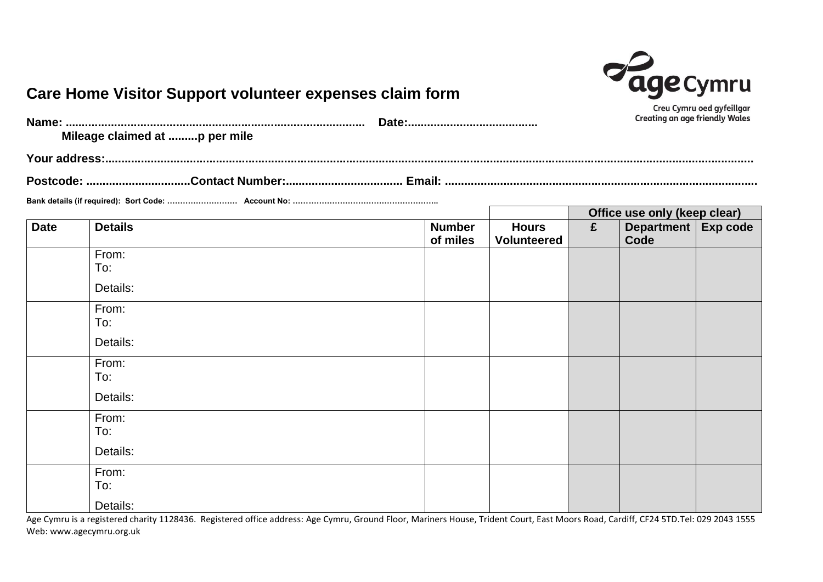

## **Care Home Visitor Support volunteer expenses claim form**

|             | Mileage claimed at p per mile |                           | Creu Cymru oed gyfeillgar<br><b>Creating an age friendly Wales</b> |                                    |   |                               |  |  |  |
|-------------|-------------------------------|---------------------------|--------------------------------------------------------------------|------------------------------------|---|-------------------------------|--|--|--|
|             |                               |                           |                                                                    |                                    |   |                               |  |  |  |
|             |                               |                           |                                                                    |                                    |   |                               |  |  |  |
|             |                               |                           |                                                                    |                                    |   |                               |  |  |  |
|             |                               |                           |                                                                    |                                    |   | Office use only (keep clear)  |  |  |  |
| <b>Date</b> | <b>Details</b>                | <b>Number</b><br>of miles |                                                                    | <b>Hours</b><br><b>Volunteered</b> | £ | Department   Exp code<br>Code |  |  |  |
|             | From:                         |                           |                                                                    |                                    |   |                               |  |  |  |
|             | To:                           |                           |                                                                    |                                    |   |                               |  |  |  |
|             | Details:                      |                           |                                                                    |                                    |   |                               |  |  |  |
|             | From:                         |                           |                                                                    |                                    |   |                               |  |  |  |
|             | To:                           |                           |                                                                    |                                    |   |                               |  |  |  |
|             | Details:                      |                           |                                                                    |                                    |   |                               |  |  |  |
|             | From:                         |                           |                                                                    |                                    |   |                               |  |  |  |
|             | To:                           |                           |                                                                    |                                    |   |                               |  |  |  |
|             | Details:                      |                           |                                                                    |                                    |   |                               |  |  |  |
|             | From:                         |                           |                                                                    |                                    |   |                               |  |  |  |
|             | To:                           |                           |                                                                    |                                    |   |                               |  |  |  |
|             | Details:                      |                           |                                                                    |                                    |   |                               |  |  |  |
|             | From:                         |                           |                                                                    |                                    |   |                               |  |  |  |
|             | To:                           |                           |                                                                    |                                    |   |                               |  |  |  |
|             | Details:                      |                           |                                                                    |                                    |   |                               |  |  |  |

Age Cymru is a registered charity 1128436. Registered office address: Age Cymru, Ground Floor, Mariners House, Trident Court, East Moors Road, Cardiff, CF24 5TD.Tel: 029 2043 1555 Web: www.agecymru.org.uk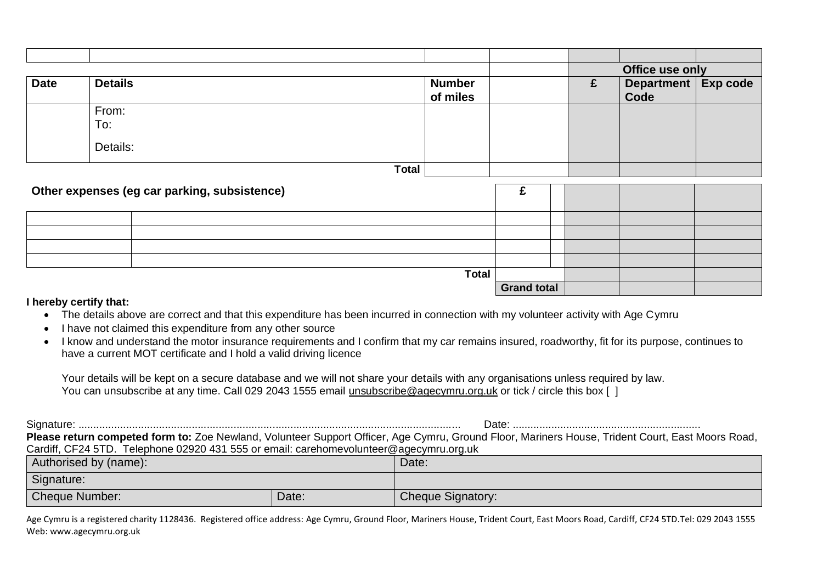|             |                |                                              |                           |                    | Office use only |                               |  |
|-------------|----------------|----------------------------------------------|---------------------------|--------------------|-----------------|-------------------------------|--|
| <b>Date</b> | <b>Details</b> |                                              | <b>Number</b><br>of miles |                    | £               | Department   Exp code<br>Code |  |
|             | From:          |                                              |                           |                    |                 |                               |  |
|             | To:            |                                              |                           |                    |                 |                               |  |
|             | Details:       |                                              |                           |                    |                 |                               |  |
|             |                | <b>Total</b>                                 |                           |                    |                 |                               |  |
|             |                |                                              |                           |                    |                 |                               |  |
|             |                | Other expenses (eg car parking, subsistence) |                           | £                  |                 |                               |  |
|             |                |                                              |                           |                    |                 |                               |  |
|             |                |                                              |                           |                    |                 |                               |  |
|             |                |                                              |                           |                    |                 |                               |  |
|             |                |                                              |                           |                    |                 |                               |  |
|             |                |                                              | <b>Total</b>              |                    |                 |                               |  |
|             |                |                                              |                           | <b>Grand total</b> |                 |                               |  |

## **I hereby certify that:**

- The details above are correct and that this expenditure has been incurred in connection with my volunteer activity with Age Cymru
- I have not claimed this expenditure from any other source
- I know and understand the motor insurance requirements and I confirm that my car remains insured, roadworthy, fit for its purpose, continues to have a current MOT certificate and I hold a valid driving licence

Your details will be kept on a secure database and we will not share your details with any organisations unless required by law. You can unsubscribe at any time. Call 029 2043 1555 email [unsubscribe@agecymru.org.uk](mailto:unsubscribe@agecymru.org.uk) or tick / circle this box [ ]

|                                                                                        |       | Date:                                                                                                                                            |  |  |  |  |
|----------------------------------------------------------------------------------------|-------|--------------------------------------------------------------------------------------------------------------------------------------------------|--|--|--|--|
|                                                                                        |       | Please return competed form to: Zoe Newland, Volunteer Support Officer, Age Cymru, Ground Floor, Mariners House, Trident Court, East Moors Road, |  |  |  |  |
| Cardiff, CF24 5TD. Telephone 02920 431 555 or email: carehomevolunteer@agecymru.org.uk |       |                                                                                                                                                  |  |  |  |  |
| Authorised by (name):                                                                  |       | Date:                                                                                                                                            |  |  |  |  |
| Signature:                                                                             |       |                                                                                                                                                  |  |  |  |  |
| <b>Cheque Number:</b>                                                                  | Date: | <b>Cheque Signatory:</b>                                                                                                                         |  |  |  |  |

Age Cymru is a registered charity 1128436. Registered office address: Age Cymru, Ground Floor, Mariners House, Trident Court, East Moors Road, Cardiff, CF24 5TD.Tel: 029 2043 1555 Web: www.agecymru.org.uk